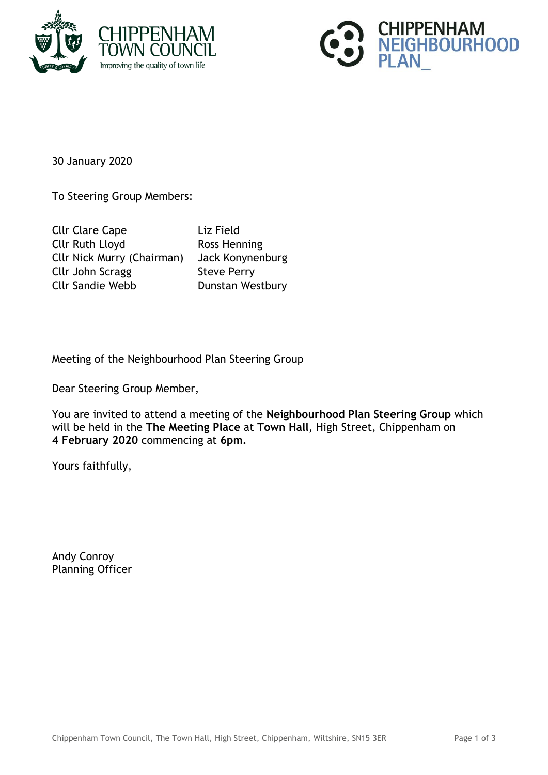



30 January 2020

To Steering Group Members:

Cllr Clare Cape Liz Field Cllr Ruth Lloyd Ross Henning Cllr Nick Murry (Chairman) Jack Konynenburg Cllr John Scragg Steve Perry Cllr Sandie Webb Dunstan Westbury

Meeting of the Neighbourhood Plan Steering Group

Dear Steering Group Member,

You are invited to attend a meeting of the **Neighbourhood Plan Steering Group** which will be held in the **The Meeting Place** at **Town Hall**, High Street, Chippenham on **4 February 2020** commencing at **6pm.**

Yours faithfully,

Andy Conroy Planning Officer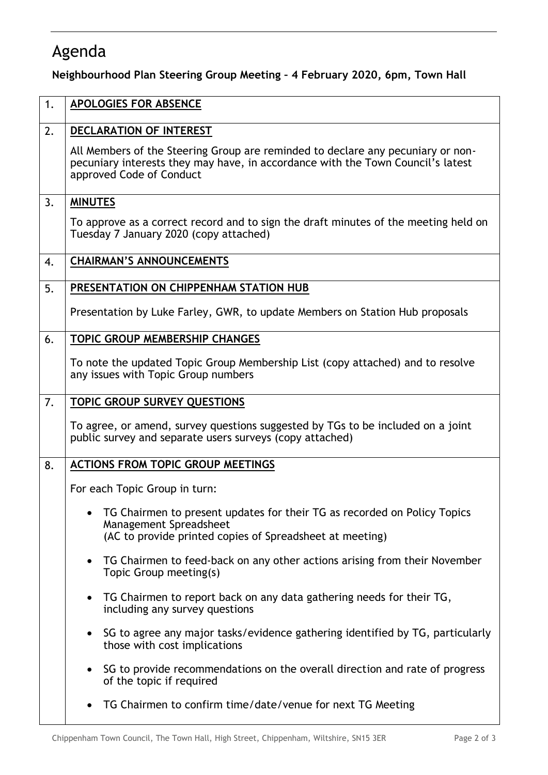## Agenda

**Neighbourhood Plan Steering Group Meeting – 4 February 2020, 6pm, Town Hall**

| 1. | <b>APOLOGIES FOR ABSENCE</b>                                                                                                                                                                   |
|----|------------------------------------------------------------------------------------------------------------------------------------------------------------------------------------------------|
| 2. | DECLARATION OF INTEREST                                                                                                                                                                        |
|    | All Members of the Steering Group are reminded to declare any pecuniary or non-<br>pecuniary interests they may have, in accordance with the Town Council's latest<br>approved Code of Conduct |
| 3. | <b>MINUTES</b>                                                                                                                                                                                 |
|    | To approve as a correct record and to sign the draft minutes of the meeting held on<br>Tuesday 7 January 2020 (copy attached)                                                                  |
| 4. | <b>CHAIRMAN'S ANNOUNCEMENTS</b>                                                                                                                                                                |
| 5. | PRESENTATION ON CHIPPENHAM STATION HUB                                                                                                                                                         |
|    | Presentation by Luke Farley, GWR, to update Members on Station Hub proposals                                                                                                                   |
| 6. | TOPIC GROUP MEMBERSHIP CHANGES                                                                                                                                                                 |
|    | To note the updated Topic Group Membership List (copy attached) and to resolve<br>any issues with Topic Group numbers                                                                          |
| 7. | <b>TOPIC GROUP SURVEY QUESTIONS</b>                                                                                                                                                            |
|    | To agree, or amend, survey questions suggested by TGs to be included on a joint<br>public survey and separate users surveys (copy attached)                                                    |
| 8. | <b>ACTIONS FROM TOPIC GROUP MEETINGS</b>                                                                                                                                                       |
|    | For each Topic Group in turn:                                                                                                                                                                  |
|    | TG Chairmen to present updates for their TG as recorded on Policy Topics<br>Management Spreadsheet                                                                                             |
|    | (AC to provide printed copies of Spreadsheet at meeting)                                                                                                                                       |
|    | TG Chairmen to feed-back on any other actions arising from their November<br>Topic Group meeting(s)                                                                                            |
|    | TG Chairmen to report back on any data gathering needs for their TG,<br>$\bullet$<br>including any survey questions                                                                            |
|    | SG to agree any major tasks/evidence gathering identified by TG, particularly<br>those with cost implications                                                                                  |
|    | SG to provide recommendations on the overall direction and rate of progress<br>of the topic if required                                                                                        |
|    | TG Chairmen to confirm time/date/venue for next TG Meeting                                                                                                                                     |